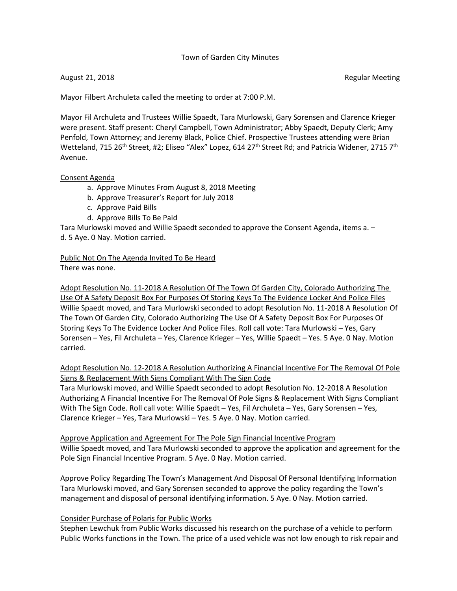### Town of Garden City Minutes

August 21, 2018 **Regular Meeting Regular Meeting Regular Meeting** 

Mayor Filbert Archuleta called the meeting to order at 7:00 P.M.

Mayor Fil Archuleta and Trustees Willie Spaedt, Tara Murlowski, Gary Sorensen and Clarence Krieger were present. Staff present: Cheryl Campbell, Town Administrator; Abby Spaedt, Deputy Clerk; Amy Penfold, Town Attorney; and Jeremy Black, Police Chief. Prospective Trustees attending were Brian Wetteland, 715 26<sup>th</sup> Street, #2; Eliseo "Alex" Lopez, 614 27<sup>th</sup> Street Rd; and Patricia Widener, 2715 7<sup>th</sup> Avenue.

#### Consent Agenda

- a. Approve Minutes From August 8, 2018 Meeting
- b. Approve Treasurer's Report for July 2018
- c. Approve Paid Bills
- d. Approve Bills To Be Paid

Tara Murlowski moved and Willie Spaedt seconded to approve the Consent Agenda, items a. – d. 5 Aye. 0 Nay. Motion carried.

Public Not On The Agenda Invited To Be Heard There was none.

Adopt Resolution No. 11-2018 A Resolution Of The Town Of Garden City, Colorado Authorizing The Use Of A Safety Deposit Box For Purposes Of Storing Keys To The Evidence Locker And Police Files Willie Spaedt moved, and Tara Murlowski seconded to adopt Resolution No. 11-2018 A Resolution Of The Town Of Garden City, Colorado Authorizing The Use Of A Safety Deposit Box For Purposes Of Storing Keys To The Evidence Locker And Police Files. Roll call vote: Tara Murlowski – Yes, Gary Sorensen – Yes, Fil Archuleta – Yes, Clarence Krieger – Yes, Willie Spaedt – Yes. 5 Aye. 0 Nay. Motion carried.

Adopt Resolution No. 12-2018 A Resolution Authorizing A Financial Incentive For The Removal Of Pole Signs & Replacement With Signs Compliant With The Sign Code

Tara Murlowski moved, and Willie Spaedt seconded to adopt Resolution No. 12-2018 A Resolution Authorizing A Financial Incentive For The Removal Of Pole Signs & Replacement With Signs Compliant With The Sign Code. Roll call vote: Willie Spaedt – Yes, Fil Archuleta – Yes, Gary Sorensen – Yes, Clarence Krieger – Yes, Tara Murlowski – Yes. 5 Aye. 0 Nay. Motion carried.

Approve Application and Agreement For The Pole Sign Financial Incentive Program Willie Spaedt moved, and Tara Murlowski seconded to approve the application and agreement for the Pole Sign Financial Incentive Program. 5 Aye. 0 Nay. Motion carried.

Approve Policy Regarding The Town's Management And Disposal Of Personal Identifying Information Tara Murlowski moved, and Gary Sorensen seconded to approve the policy regarding the Town's management and disposal of personal identifying information. 5 Aye. 0 Nay. Motion carried.

### Consider Purchase of Polaris for Public Works

Stephen Lewchuk from Public Works discussed his research on the purchase of a vehicle to perform Public Works functions in the Town. The price of a used vehicle was not low enough to risk repair and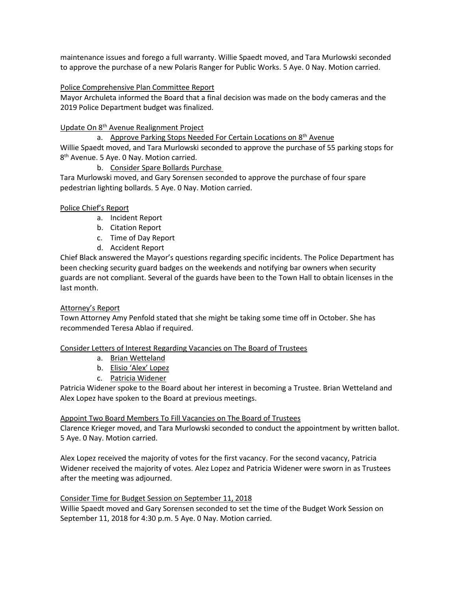maintenance issues and forego a full warranty. Willie Spaedt moved, and Tara Murlowski seconded to approve the purchase of a new Polaris Ranger for Public Works. 5 Aye. 0 Nay. Motion carried.

## Police Comprehensive Plan Committee Report

Mayor Archuleta informed the Board that a final decision was made on the body cameras and the 2019 Police Department budget was finalized.

## Update On 8th Avenue Realignment Project

a. Approve Parking Stops Needed For Certain Locations on 8<sup>th</sup> Avenue Willie Spaedt moved, and Tara Murlowski seconded to approve the purchase of 55 parking stops for 8<sup>th</sup> Avenue. 5 Aye. 0 Nay. Motion carried.

## b. Consider Spare Bollards Purchase

Tara Murlowski moved, and Gary Sorensen seconded to approve the purchase of four spare pedestrian lighting bollards. 5 Aye. 0 Nay. Motion carried.

## Police Chief's Report

- a. Incident Report
- b. Citation Report
- c. Time of Day Report
- d. Accident Report

Chief Black answered the Mayor's questions regarding specific incidents. The Police Department has been checking security guard badges on the weekends and notifying bar owners when security guards are not compliant. Several of the guards have been to the Town Hall to obtain licenses in the last month.

### Attorney's Report

Town Attorney Amy Penfold stated that she might be taking some time off in October. She has recommended Teresa Ablao if required.

### Consider Letters of Interest Regarding Vacancies on The Board of Trustees

- a. Brian Wetteland
- b. Elisio 'Alex' Lopez
- c. Patricia Widener

Patricia Widener spoke to the Board about her interest in becoming a Trustee. Brian Wetteland and Alex Lopez have spoken to the Board at previous meetings.

### Appoint Two Board Members To Fill Vacancies on The Board of Trustees

Clarence Krieger moved, and Tara Murlowski seconded to conduct the appointment by written ballot. 5 Aye. 0 Nay. Motion carried.

Alex Lopez received the majority of votes for the first vacancy. For the second vacancy, Patricia Widener received the majority of votes. Alez Lopez and Patricia Widener were sworn in as Trustees after the meeting was adjourned.

### Consider Time for Budget Session on September 11, 2018

Willie Spaedt moved and Gary Sorensen seconded to set the time of the Budget Work Session on September 11, 2018 for 4:30 p.m. 5 Aye. 0 Nay. Motion carried.